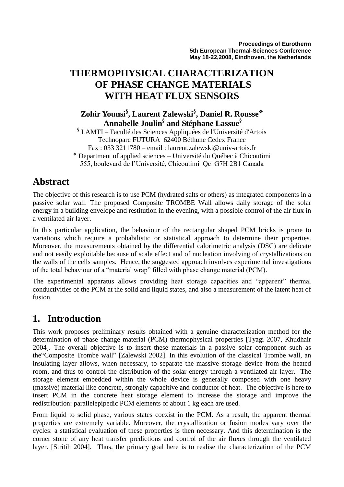# **THERMOPHYSICAL CHARACTERIZATION OF PHASE CHANGE MATERIALS WITH HEAT FLUX SENSORS**

### **Zohir Younsi§ , Laurent Zalewski§ , Daniel R. Rousse Annabelle Joulin§ and Stéphane Lassue§**

**§** LAMTI – Faculté des Sciences Appliquées de l'Université d'Artois Technoparc FUTURA 62400 Béthune Cedex France Fax : 033 3211780 – email : laurent.zalewski@univ-artois.fr

 Department of applied sciences – Université du Québec à Chicoutimi 555, boulevard de l'Université, Chicoutimi Qc G7H 2B1 Canada

### **Abstract**

The objective of this research is to use PCM (hydrated salts or others) as integrated components in a passive solar wall. The proposed Composite TROMBE Wall allows daily storage of the solar energy in a building envelope and restitution in the evening, with a possible control of the air flux in a ventilated air layer.

In this particular application, the behaviour of the rectangular shaped PCM bricks is prone to variations which require a probabilistic or statistical approach to determine their properties. Moreover, the measurements obtained by the differential calorimetric analysis (DSC) are delicate and not easily exploitable because of scale effect and of nucleation involving of crystallizations on the walls of the cells samples. Hence, the suggested approach involves experimental investigations of the total behaviour of a "material wrap" filled with phase change material (PCM).

The experimental apparatus allows providing heat storage capacities and "apparent" thermal conductivities of the PCM at the solid and liquid states, and also a measurement of the latent heat of fusion.

### **1. Introduction**

This work proposes preliminary results obtained with a genuine characterization method for the determination of phase change material (PCM) thermophysical properties [Tyagi 2007, Khudhair 2004]. The overall objective is to insert these materials in a passive solar component such as the Composite Trombe wall" [Zalewski 2002]. In this evolution of the classical Trombe wall, an insulating layer allows, when necessary, to separate the massive storage device from the heated room, and thus to control the distribution of the solar energy through a ventilated air layer. The storage element embedded within the whole device is generally composed with one heavy (massive) material like concrete, strongly capacitive and conductor of heat. The objective is here to insert PCM in the concrete heat storage element to increase the storage and improve the redistribution: parallelepipedic PCM elements of about 1 kg each are used.

From liquid to solid phase, various states coexist in the PCM. As a result, the apparent thermal properties are extremely variable. Moreover, the crystallization or fusion modes vary over the cycles: a statistical evaluation of these properties is then necessary. And this determination is the corner stone of any heat transfer predictions and control of the air fluxes through the ventilated layer. [Stritih 2004]. Thus, the primary goal here is to realise the characterization of the PCM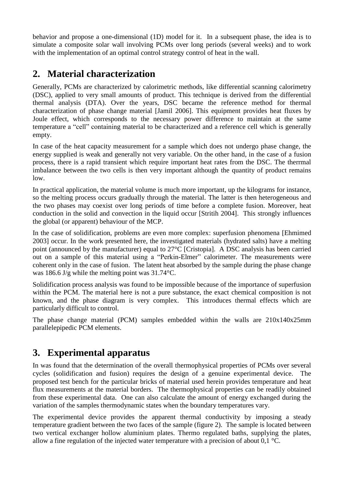behavior and propose a one-dimensional (1D) model for it. In a subsequent phase, the idea is to simulate a composite solar wall involving PCMs over long periods (several weeks) and to work with the implementation of an optimal control strategy control of heat in the wall.

### **2. Material characterization**

Generally, PCMs are characterized by calorimetric methods, like differential scanning calorimetry (DSC), applied to very small amounts of product. This technique is derived from the differential thermal analysis (DTA). Over the years, DSC became the reference method for thermal characterization of phase change material [Jamil 2006]. This equipment provides heat fluxes by Joule effect, which corresponds to the necessary power difference to maintain at the same temperature a "cell" containing material to be characterized and a reference cell which is generally empty.

In case of the heat capacity measurement for a sample which does not undergo phase change, the energy supplied is weak and generally not very variable. On the other hand, in the case of a fusion process, there is a rapid transient which require important heat rates from the DSC. The therrmal imbalance between the two cells is then very important although the quantity of product remains low.

In practical application, the material volume is much more important, up the kilograms for instance, so the melting process occurs gradually through the material. The latter is then heterogeneous and the two phases may coexist over long periods of time before a complete fusion. Moreover, heat conduction in the solid and convection in the liquid occur [Stritih 2004]. This strongly influences the global (or apparent) behaviour of the MCP.

In the case of solidification, problems are even more complex: superfusion phenomena [Ehmimed 2003] occur. In the work presented here, the investigated materials (hydrated salts) have a melting point (announced by the manufacturer) equal to 27°C [Cristopia]. A DSC analysis has been carried out on a sample of this material using a "Perkin-Elmer" calorimeter. The measurements were coherent only in the case of fusion. The latent heat absorbed by the sample during the phase change was 186.6 J/g while the melting point was 31.74°C.

Solidification process analysis was found to be impossible because of the importance of superfusion within the PCM. The material here is not a pure substance, the exact chemical composition is not known, and the phase diagram is very complex. This introduces thermal effects which are particularly difficult to control.

The phase change material (PCM) samples embedded within the walls are 210x140x25mm parallelepipedic PCM elements.

## **3. Experimental apparatus**

In was found that the determination of the overall thermophysical properties of PCMs over several cycles (solidification and fusion) requires the design of a genuine experimental device. The proposed test bench for the particular bricks of material used herein provides temperature and heat flux measurements at the material borders. The thermophysical properties can be readily obtained from these experimental data. One can also calculate the amount of energy exchanged during the variation of the samples thermodynamic states when the boundary temperatures vary.

The experimental device provides the apparent thermal conductivity by imposing a steady temperature gradient between the two faces of the sample (figure 2). The sample is located between two vertical exchanger hollow aluminium plates. Thermo regulated baths, supplying the plates, allow a fine regulation of the injected water temperature with a precision of about  $0.1 \text{ }^{\circ}\text{C}$ .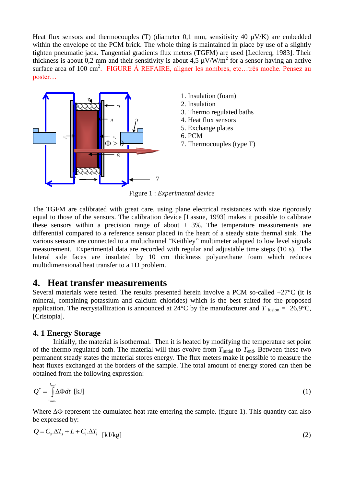Heat flux sensors and thermocouples (T) (diameter 0.1 mm, sensitivity 40  $\mu$ V/K) are embedded within the envelope of the PCM brick. The whole thing is maintained in place by use of a slightly tighten pneumatic jack. Tangential gradients flux meters (TGFM) are used [Leclercq, 1983]. Their thickness is about 0,2 mm and their sensitivity is about 4,5  $\mu$ V/W/m<sup>2</sup> for a sensor having an active surface area of 100 cm<sup>2</sup>. FIGURE À REFAIRE, aligner les nombres, etc...très moche. Pensez au poster…



Figure 1 : *Experimental device*

The TGFM are calibrated with great care, using plane electrical resistances with size rigorously equal to those of the sensors. The calibration device [Lassue, 1993] makes it possible to calibrate these sensors within a precision range of about  $\pm$  3%. The temperature measurements are differential compared to a reference sensor placed in the heart of a steady state thermal sink. The various sensors are connected to a multichannel "Keithley" multimeter adapted to low level signals measurement. Experimental data are recorded with regular and adjustable time steps (10 s). The lateral side faces are insulated by 10 cm thickness polyurethane foam which reduces multidimensional heat transfer to a 1D problem.

### **4. Heat transfer measurements**

Several materials were tested. The results presented herein involve a PCM so-called  $+27^{\circ}$ C (it is mineral, containing potassium and calcium chlorides) which is the best suited for the proposed application. The recrystallization is announced at 24<sup>o</sup>C by the manufacturer and  $T_{\text{fusion}} = 26.9^{\circ}\text{C}$ , [Cristopia].

#### **4. 1 Energy Storage**

Initially, the material is isothermal. Then it is heated by modifying the temperature set point of the thermo regulated bath. The material will thus evolve from  $T_{initial}$  to  $T_{end}$ . Between these two permanent steady states the material stores energy. The flux meters make it possible to measure the heat fluxes exchanged at the borders of the sample. The total amount of energy stored can then be obtained from the following expression:

$$
Q^* = \int_{t_{initial}}^{t_{end}} \Delta \Phi dt \, [\text{kJ}] \tag{1}
$$

Where  $\Delta\Phi$  represent the cumulated heat rate entering the sample. (figure 1). This quantity can also be expressed by:

$$
Q = C_s \Delta T_s + L + C_l \Delta T_l
$$
 [kJ/kg] (2)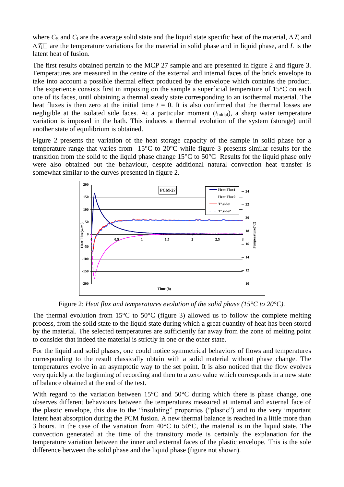where  $C_S$  and  $C_i$  are the average solid state and the liquid state specific heat of the material,  $\Delta T_S$  and  $\Delta T_i \Box$  are the temperature variations for the material in solid phase and in liquid phase, and *L* is the latent heat of fusion.

The first results obtained pertain to the MCP 27 sample and are presented in figure 2 and figure 3. Temperatures are measured in the centre of the external and internal faces of the brick envelope to take into account a possible thermal effect produced by the envelope which contains the product. The experience consists first in imposing on the sample a superficial temperature of 15<sup>o</sup>C on each one of its faces, until obtaining a thermal steady state corresponding to an isothermal material. The heat fluxes is then zero at the initial time  $t = 0$ . It is also confirmed that the thermal losses are negligible at the isolated side faces. At a particular moment  $(t<sub>initial</sub>)$ , a sharp water temperature variation is imposed in the bath. This induces a thermal evolution of the system (storage) until another state of equilibrium is obtained.

Figure 2 presents the variation of the heat storage capacity of the sample in solid phase for a temperature range that varies from 15°C to 20°C while figure 3 presents similar results for the transition from the solid to the liquid phase change 15°C to 50°C Results for the liquid phase only were also obtained but the behaviour, despite additional natural convection heat transfer is somewhat similar to the curves presented in figure 2.



Figure 2: *Heat flux and temperatures evolution of the solid phase (15°C to 20°C).*

The thermal evolution from 15 $\degree$ C to 50 $\degree$ C (figure 3) allowed us to follow the complete melting process, from the solid state to the liquid state during which a great quantity of heat has been stored by the material. The selected temperatures are sufficiently far away from the zone of melting point to consider that indeed the material is strictly in one or the other state.

For the liquid and solid phases, one could notice symmetrical behaviors of flows and temperatures corresponding to the result classically obtain with a solid material without phase change. The temperatures evolve in an asymptotic way to the set point. It is also noticed that the flow evolves very quickly at the beginning of recording and then to a zero value which corresponds in a new state of balance obtained at the end of the test.

With regard to the variation between 15<sup>o</sup>C and 50<sup>o</sup>C during which there is phase change, one observes different behaviours between the temperatures measured at internal and external face of the plastic envelope, this due to the "insulating" properties ("plastic") and to the very important latent heat absorption during the PCM fusion. A new thermal balance is reached in a little more than 3 hours. In the case of the variation from 40°C to 50°C, the material is in the liquid state. The convection generated at the time of the transitory mode is certainly the explanation for the temperature variation between the inner and external faces of the plastic envelope. This is the sole difference between the solid phase and the liquid phase (figure not shown).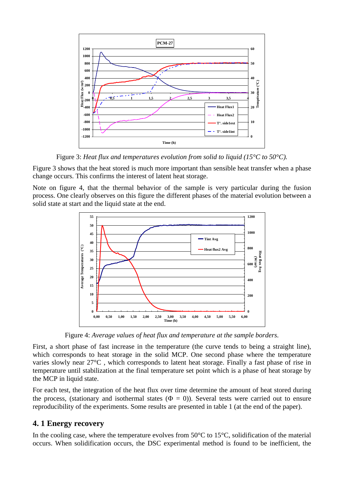

Figure 3: *Heat flux and temperatures evolution from solid to liquid (15°C to 50°C).*

Figure 3 shows that the heat stored is much more important than sensible heat transfer when a phase change occurs. This confirms the interest of latent heat storage.

Note on figure 4, that the thermal behavior of the sample is very particular during the fusion process. One clearly observes on this figure the different phases of the material evolution between a solid state at start and the liquid state at the end.



Figure 4: *Average values of heat flux and temperature at the sample borders.*

First, a short phase of fast increase in the temperature (the curve tends to being a straight line), which corresponds to heat storage in the solid MCP. One second phase where the temperature varies slowly near 27°C , which corresponds to latent heat storage. Finally a fast phase of rise in temperature until stabilization at the final temperature set point which is a phase of heat storage by the MCP in liquid state.

For each test, the integration of the heat flux over time determine the amount of heat stored during the process, (stationary and isothermal states  $(\Phi = 0)$ ). Several tests were carried out to ensure reproducibility of the experiments. Some results are presented in table 1 (at the end of the paper).

### **4. 1 Energy recovery**

In the cooling case, where the temperature evolves from  $50^{\circ}$ C to  $15^{\circ}$ C, solidification of the material occurs. When solidification occurs, the DSC experimental method is found to be inefficient, the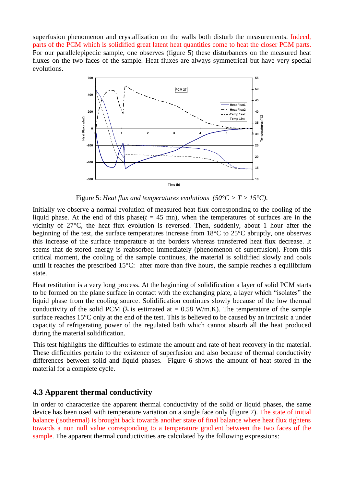superfusion phenomenon and crystallization on the walls both disturb the measurements. Indeed, parts of the PCM which is solidified great latent heat quantities come to heat the closer PCM parts. For our parallelepipedic sample, one observes (figure 5) these disturbances on the measured heat fluxes on the two faces of the sample. Heat fluxes are always symmetrical but have very special evolutions.



Figure 5: *Heat flux and temperatures evolutions (50°C > T > 15°C)*.

Initially we observe a normal evolution of measured heat flux corresponding to the cooling of the liquid phase. At the end of this phase( $t = 45$  mn), when the temperatures of surfaces are in the vicinity of 27°C, the heat flux evolution is reversed. Then, suddenly, about 1 hour after the beginning of the test, the surface temperatures increase from 18°C to 25°C abruptly, one observes this increase of the surface temperature at the borders whereas transferred heat flux decrease. It seems that de-stored energy is reabsorbed immediately (phenomenon of superfusion). From this critical moment, the cooling of the sample continues, the material is solidified slowly and cools until it reaches the prescribed 15°C: after more than five hours, the sample reaches a equilibrium state.

Heat restitution is a very long process. At the beginning of solidification a layer of solid PCM starts to be formed on the plane surface in contact with the exchanging plate, a layer which "isolates" the liquid phase from the cooling source. Solidification continues slowly because of the low thermal conductivity of the solid PCM ( $\lambda$  is estimated at = 0.58 W/m.K). The temperature of the sample surface reaches 15°C only at the end of the test. This is believed to be caused by an intrinsic a under capacity of refrigerating power of the regulated bath which cannot absorb all the heat produced during the material solidification.

This test highlights the difficulties to estimate the amount and rate of heat recovery in the material. These difficulties pertain to the existence of superfusion and also because of thermal conductivity differences between solid and liquid phases. Figure 6 shows the amount of heat stored in the material for a complete cycle.

#### **4.3 Apparent thermal conductivity**

In order to characterize the apparent thermal conductivity of the solid or liquid phases, the same device has been used with temperature variation on a single face only (figure 7). The state of initial balance (isothermal) is brought back towards another state of final balance where heat flux tightens towards a non null value corresponding to a temperature gradient between the two faces of the sample. The apparent thermal conductivities are calculated by the following expressions: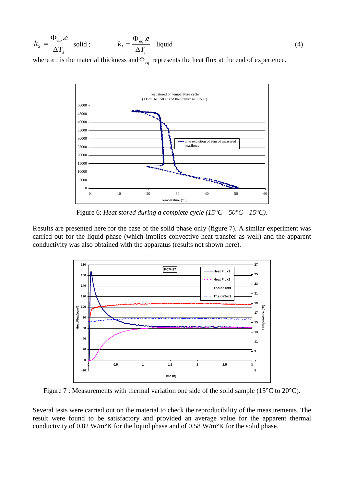$$
k_{S} = \frac{\Phi_{eq}.e}{\Delta T_{s}} \quad \text{solid} \; ; \qquad k_{l} = \frac{\Phi_{eq}.e}{\Delta T_{l}} \quad \text{liquid} \tag{4}
$$

where  $e$ : is the material thickness and  $\Phi_{eq}$  represents the heat flux at the end of experience.



Figure 6: *Heat stored during a complete cycle (15°C—50°C—15°C).*

Results are presented here for the case of the solid phase only (figure 7). A similar experiment was carried out for the liquid phase (which implies convective heat transfer as well) and the apparent conductivity was also obtained with the apparatus (results not shown here).



Figure 7 : Measurements with thermal variation one side of the solid sample (15<sup>o</sup>C to 20<sup>o</sup>C).

Several tests were carried out on the material to check the reproducibility of the measurements. The result were found to be satisfactory and provided an average value for the apparent thermal conductivity of 0,82 W/m°K for the liquid phase and of 0,58 W/m°K for the solid phase.